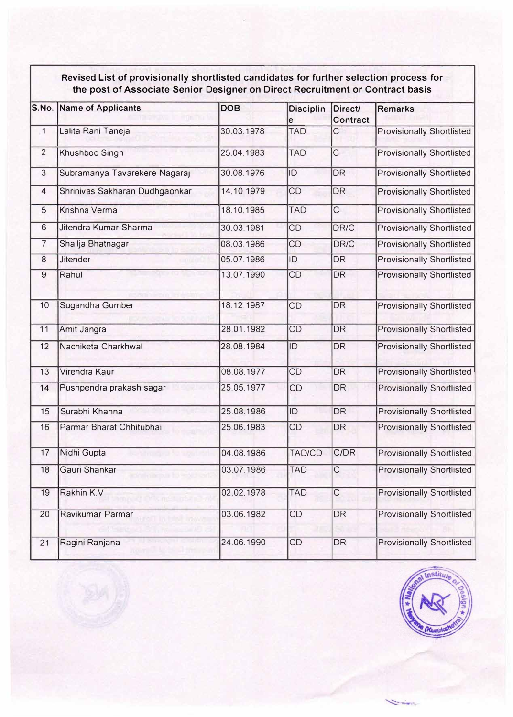## **Revised List of provisionally shortlisted candidates for further selection process for the post of Associate Senior Designer on Direct Recruitment or Contract basis**

| S.No.          | <b>Name of Applicants</b>      | <b>DOB</b> | <b>Disciplin</b><br>е | <b>Direct/</b><br><b>Contract</b> | <b>Remarks</b>                   |
|----------------|--------------------------------|------------|-----------------------|-----------------------------------|----------------------------------|
| $\mathbf{1}$   | Lalita Rani Taneja             | 30.03.1978 | <b>TAD</b>            | $\overline{C}$                    | <b>Provisionally Shortlisted</b> |
| $\overline{2}$ | Khushboo Singh                 | 25.04.1983 | <b>TAD</b>            | $\overline{C}$                    | <b>Provisionally Shortlisted</b> |
| 3              | Subramanya Tavarekere Nagaraj  | 30.08.1976 | ID                    | <b>DR</b>                         | <b>Provisionally Shortlisted</b> |
| 4              | Shrinivas Sakharan Dudhgaonkar | 14.10.1979 | CD                    | <b>DR</b>                         | <b>Provisionally Shortlisted</b> |
| 5              | <b>Krishna Verma</b>           | 18.10.1985 | <b>TAD</b>            | $\overline{C}$                    | <b>Provisionally Shortlisted</b> |
| 6              | Jitendra Kumar Sharma          | 30.03.1981 | CD                    | DR/C                              | <b>Provisionally Shortlisted</b> |
| $\overline{7}$ | Shailja Bhatnagar              | 08.03.1986 | <b>CD</b>             | <b>DR/C</b>                       | <b>Provisionally Shortlisted</b> |
| 8              | <b>Jitender</b>                | 05.07.1986 | ID                    | <b>DR</b>                         | <b>Provisionally Shortlisted</b> |
| 9              | Rahul                          | 13.07.1990 | CD                    | <b>DR</b>                         | <b>Provisionally Shortlisted</b> |
| 10             | Sugandha Gumber                | 18.12.1987 | CD                    | <b>DR</b>                         | <b>Provisionally Shortlisted</b> |
| 11             | Amit Jangra                    | 28.01.1982 | CD                    | <b>DR</b>                         | <b>Provisionally Shortlisted</b> |
| 12             | Nachiketa Charkhwal            | 28.08.1984 | ID                    | <b>DR</b>                         | <b>Provisionally Shortlisted</b> |
| 13             | Virendra Kaur                  | 08.08.1977 | CD                    | <b>DR</b>                         | <b>Provisionally Shortlisted</b> |
| 14             | Pushpendra prakash sagar       | 25.05.1977 | CD                    | <b>DR</b>                         | <b>Provisionally Shortlisted</b> |
| 15             | Surabhi Khanna                 | 25.08.1986 | ID                    | <b>DR</b>                         | <b>Provisionally Shortlisted</b> |
| 16             | Parmar Bharat Chhitubhai       | 25.06.1983 | CD                    | <b>DR</b>                         | <b>Provisionally Shortlisted</b> |
| 17             | Nidhi Gupta                    | 04.08.1986 | <b>TAD/CD</b>         | C/DR                              | <b>Provisionally Shortlisted</b> |
| 18             | Gauri Shankar                  | 03.07.1986 | <b>TAD</b>            | $\overline{\text{C}}$             | <b>Provisionally Shortlisted</b> |
| 19             | Rakhin K.V                     | 02.02.1978 | <b>TAD</b>            | $\mathsf C$                       | <b>Provisionally Shortlisted</b> |
| 20             | Ravikumar Parmar               | 03.06.1982 | CD                    | <b>DR</b>                         | <b>Provisionally Shortlisted</b> |
| 21             | Ragini Ranjana                 | 24.06.1990 | CD                    | DR                                | <b>Provisionally Shortlisted</b> |



**Service**